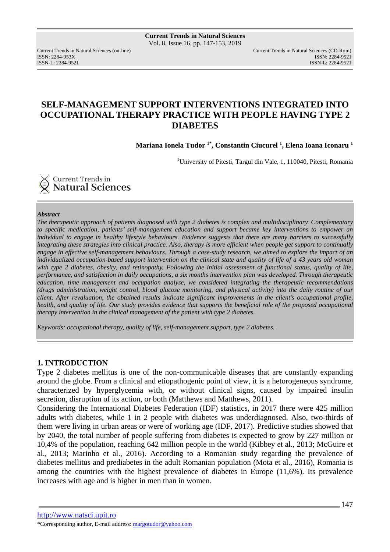ISSN: 2284-953XISSN: 2284-9521

Current Trends in Natural Sciences (on-line) Current Trends in Natural Sciences (CD-Rom) ISSN-L: 2284-9521

# **SELF-MANAGEMENT SUPPORT INTERVENTIONS INTEGRATED INTO OCCUPATIONAL THERAPY PRACTICE WITH PEOPLE HAVING TYPE 2 DIABETES**

**Mariana Ionela Tudor 1\*, Constantin Ciucurel <sup>1</sup> , Elena Ioana Iconaru <sup>1</sup>**

<sup>1</sup>University of Pitesti, Targul din Vale, 1, 110040, Pitesti, Romania



### *Abstract*

*The therapeutic approach of patients diagnosed with type 2 diabetes is complex and multidisciplinary. Complementary to specific medication, patients' self-management education and support became key interventions to empower an individual to engage in healthy lifestyle behaviours. Evidence suggests that there are many barriers to successfully integrating these strategies into clinical practice. Also, therapy is more efficient when people get support to continually engage in effective self-management behaviours. Through a case-study research, we aimed to explore the impact of an individualized occupation-based support intervention on the clinical state and quality of life of a 43 years old woman with type 2 diabetes, obesity, and retinopathy. Following the initial assessment of functional status, quality of life, performance, and satisfaction in daily occupations, a six months intervention plan was developed. Through therapeutic education, time management and occupation analyse, we considered integrating the therapeutic recommendations (drugs administration, weight control, blood glucose monitoring, and physical activity) into the daily routine of our client. After revaluation, the obtained results indicate significant improvements in the client's occupational profile, health, and quality of life. Our study provides evidence that supports the beneficial role of the proposed occupational therapy intervention in the clinical management of the patient with type 2 diabetes.* 

*Keywords: occupational therapy, quality of life, self-management support, type 2 diabetes.* 

### **1. INTRODUCTION**

Type 2 diabetes mellitus is one of the non-communicable diseases that are constantly expanding around the globe. From a clinical and etiopathogenic point of view, it is a hetorogeneous syndrome, characterized by hyperglycemia with, or without clinical signs, caused by impaired insulin secretion, disruption of its action, or both (Matthews and Matthews, 2011).

Considering the International Diabetes Federation (IDF) statistics, in 2017 there were 425 million adults with diabetes, while 1 in 2 people with diabetes was underdiagnosed. Also, two-thirds of them were living in urban areas or were of working age (IDF, 2017). Predictive studies showed that by 2040, the total number of people suffering from diabetes is expected to grow by 227 million or 10,4% of the population, reaching 642 million people in the world (Kibbey et al., 2013; McGuire et al., 2013; Marinho et al., 2016). According to a Romanian study regarding the prevalence of diabetes mellitus and prediabetes in the adult Romanian population (Mota et al., 2016), Romania is among the countries with the highest prevalence of diabetes in Europe (11,6%). Its prevalence increases with age and is higher in men than in women.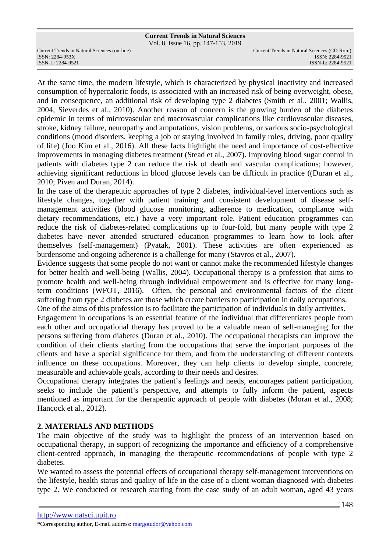Vol. 8, Issue 16, pp. 147-153, 2019

ISSN: 2284-953XISSN: 2284-9521

At the same time, the modern lifestyle, which is characterized by physical inactivity and increased consumption of hypercaloric foods, is associated with an increased risk of being overweight, obese, and in consequence, an additional risk of developing type 2 diabetes (Smith et al., 2001; Wallis, 2004; Sieverdes et al., 2010). Another reason of concern is the growing burden of the diabetes epidemic in terms of microvascular and macrovascular complications like cardiovascular diseases, stroke, kidney failure, neuropathy and amputations, vision problems, or various socio-psychological conditions (mood disorders, keeping a job or staying involved in family roles, driving, poor quality of life) (Joo Kim et al., 2016). All these facts highlight the need and importance of cost-effective improvements in managing diabetes treatment (Stead et al., 2007). Improving blood sugar control in patients with diabetes type 2 can reduce the risk of death and vascular complications; however, achieving significant reductions in blood glucose levels can be difficult in practice ((Duran et al., 2010; Piven and Duran, 2014).

In the case of the therapeutic approaches of type 2 diabetes, individual-level interventions such as lifestyle changes, together with patient training and consistent development of disease selfmanagement activities (blood glucose monitoring, adherence to medication, compliance with dietary recommendations, etc.) have a very important role. Patient education programmes can reduce the risk of diabetes-related complications up to four-fold, but many people with type 2 diabetes have never attended structured education programmes to learn how to look after themselves (self-management) (Pyatak, 2001). These activities are often experienced as burdensome and ongoing adherence is a challenge for many (Stavros et al., 2007).

Evidence suggests that some people do not want or cannot make the recommended lifestyle changes for better health and well-being (Wallis, 2004). Occupational therapy is a profession that aims to promote health and well-being through individual empowerment and is effective for many longterm conditions (WFOT, 2016). Often, the personal and environmental factors of the client suffering from type 2 diabetes are those which create barriers to participation in daily occupations. One of the aims of this profession is to facilitate the participation of individuals in daily activities.

Engagement in occupations is an essential feature of the individual that differentiates people from each other and occupational therapy has proved to be a valuable mean of self-managing for the persons suffering from diabetes (Duran et al., 2010). The occupational therapists can improve the condition of their clients starting from the occupations that serve the important purposes of the clients and have a special significance for them, and from the understanding of different contexts influence on these occupations. Moreover, they can help clients to develop simple, concrete, measurable and achievable goals, according to their needs and desires.

Occupational therapy integrates the patient's feelings and needs, encourages patient participation, seeks to include the patient's perspective, and attempts to fully inform the patient, aspects mentioned as important for the therapeutic approach of people with diabetes (Moran et al., 2008; Hancock et al., 2012).

### **2. MATERIALS AND METHODS**

The main objective of the study was to highlight the process of an intervention based on occupational therapy, in support of recognizing the importance and efficiency of a comprehensive client-centred approach, in managing the therapeutic recommendations of people with type 2 diabetes.

We wanted to assess the potential effects of occupational therapy self-management interventions on the lifestyle, health status and quality of life in the case of a client woman diagnosed with diabetes type 2. We conducted or research starting from the case study of an adult woman, aged 43 years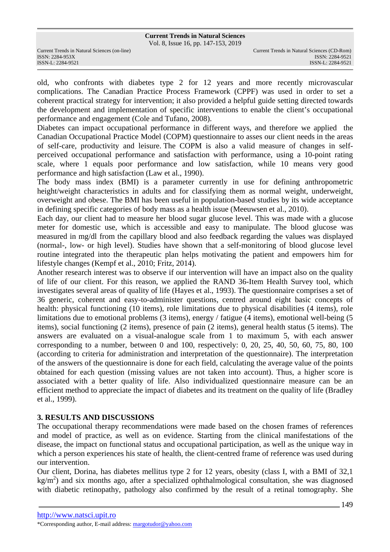Vol. 8, Issue 16, pp. 147-153, 2019

old, who confronts with diabetes type 2 for 12 years and more recently microvascular complications. The Canadian Practice Process Framework (CPPF) was used in order to set a coherent practical strategy for intervention; it also provided a helpful guide setting directed towards the development and implementation of specific interventions to enable the client's occupational performance and engagement (Cole and Tufano, 2008).

Diabetes can impact occupational performance in different ways, and therefore we applied the Canadian Occupational Practice Model (COPM) questionnaire to asses our client needs in the areas of self-care, productivity and leisure. The COPM is also a valid measure of changes in selfperceived occupational performance and satisfaction with performance, using a 10-point rating scale, where 1 equals poor performance and low satisfaction, while 10 means very good performance and high satisfaction (Law et al., 1990).

The body mass index (BMI) is a parameter currently in use for defining anthropometric height/weight characteristics in adults and for classifying them as normal weight, underweight, overweight and obese. The BMI has been useful in population-based studies by its wide acceptance in defining specific categories of body mass as a health issue (Meeuwsen et al., 2010).

Each day, our client had to measure her blood sugar glucose level. This was made with a glucose meter for domestic use, which is accessible and easy to manipulate. The blood glucose was measured in mg/dl from the capillary blood and also feedback regarding the values was displayed (normal-, low- or high level). Studies have shown that a self-monitoring of blood glucose level routine integrated into the therapeutic plan helps motivating the patient and empowers him for lifestyle changes (Kempf et al., 2010; Fritz, 2014).

Another research interest was to observe if our intervention will have an impact also on the quality of life of our client. For this reason, we applied the RAND 36-Item Health Survey tool, which investigates several areas of quality of life (Hayes et al., 1993). The questionnaire comprises a set of 36 generic, coherent and easy-to-administer questions, centred around eight basic concepts of health: physical functioning (10 items), role limitations due to physical disabilities (4 items), role limitations due to emotional problems (3 items), energy / fatigue (4 items), emotional well-being (5 items), social functioning (2 items), presence of pain (2 items), general health status (5 items). The answers are evaluated on a visual-analogue scale from 1 to maximum 5, with each answer corresponding to a number, between 0 and 100, respectively: 0, 20, 25, 40, 50, 60, 75, 80, 100 (according to criteria for administration and interpretation of the questionnaire). The interpretation of the answers of the questionnaire is done for each field, calculating the average value of the points obtained for each question (missing values are not taken into account). Thus, a higher score is associated with a better quality of life. Also individualized questionnaire measure can be an efficient method to appreciate the impact of diabetes and its treatment on the quality of life (Bradley et al., 1999).

# **3. RESULTS AND DISCUSSIONS**

The occupational therapy recommendations were made based on the chosen frames of references and model of practice, as well as on evidence. Starting from the clinical manifestations of the disease, the impact on functional status and occupational participation, as well as the unique way in which a person experiences his state of health, the client-centred frame of reference was used during our intervention.

Our client, Dorina, has diabetes mellitus type 2 for 12 years, obesity (class I, with a BMI of 32,1  $kg/m<sup>2</sup>$ ) and six months ago, after a specialized ophthalmological consultation, she was diagnosed with diabetic retinopathy, pathology also confirmed by the result of a retinal tomography. She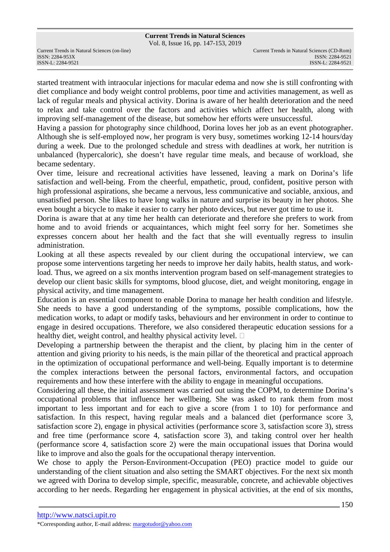Vol. 8, Issue 16, pp. 147-153, 2019

ISSN: 2284-953XISSN: 2284-9521

started treatment with intraocular injections for macular edema and now she is still confronting with diet compliance and body weight control problems, poor time and activities management, as well as lack of regular meals and physical activity. Dorina is aware of her health deterioration and the need to relax and take control over the factors and activities which affect her health, along with improving self-management of the disease, but somehow her efforts were unsuccessful.

Having a passion for photography since childhood, Dorina loves her job as an event photographer. Although she is self-employed now, her program is very busy, sometimes working 12-14 hours/day during a week. Due to the prolonged schedule and stress with deadlines at work, her nutrition is unbalanced (hypercaloric), she doesn't have regular time meals, and because of workload, she became sedentary.

Over time, leisure and recreational activities have lessened, leaving a mark on Dorina's life satisfaction and well-being. From the cheerful, empathetic, proud, confident, positive person with high professional aspirations, she became a nervous, less communicative and sociable, anxious, and unsatisfied person. She likes to have long walks in nature and surprise its beauty in her photos. She even bought a bicycle to make it easier to carry her photo devices, but never got time to use it.

Dorina is aware that at any time her health can deteriorate and therefore she prefers to work from home and to avoid friends or acquaintances, which might feel sorry for her. Sometimes she expresses concern about her health and the fact that she will eventually regress to insulin administration.

Looking at all these aspects revealed by our client during the occupational interview, we can propose some interventions targeting her needs to improve her daily habits, health status, and workload. Thus, we agreed on a six months intervention program based on self-management strategies to develop our client basic skills for symptoms, blood glucose, diet, and weight monitoring, engage in physical activity, and time management.

Education is an essential component to enable Dorina to manage her health condition and lifestyle. She needs to have a good understanding of the symptoms, possible complications, how the medication works, to adapt or modify tasks, behaviours and her environment in order to continue to engage in desired occupations. Therefore, we also considered therapeutic education sessions for a healthy diet, weight control, and healthy physical activity level.

Developing a partnership between the therapist and the client, by placing him in the center of attention and giving priority to his needs, is the main pillar of the theoretical and practical approach in the optimization of occupational performance and well-being. Equally important is to determine the complex interactions between the personal factors, environmental factors, and occupation requirements and how these interfere with the ability to engage in meaningful occupations.

Considering all these, the initial assessment was carried out using the COPM, to determine Dorina's occupational problems that influence her wellbeing. She was asked to rank them from most important to less important and for each to give a score (from 1 to 10) for performance and satisfaction. In this respect, having regular meals and a balanced diet (performance score 3, satisfaction score 2), engage in physical activities (performance score 3, satisfaction score 3), stress and free time (performance score 4, satisfaction score 3), and taking control over her health (performance score 4, satisfaction score 2) were the main occupational issues that Dorina would like to improve and also the goals for the occupational therapy intervention.

We chose to apply the Person-Environment-Occupation (PEO) practice model to guide our understanding of the client situation and also setting the SMART objectives. For the next six month we agreed with Dorina to develop simple, specific, measurable, concrete, and achievable objectives according to her needs. Regarding her engagement in physical activities, at the end of six months,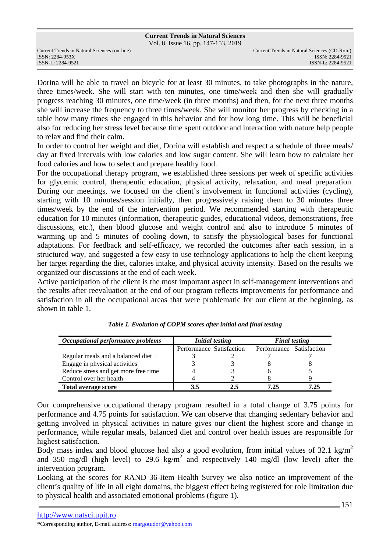Vol. 8, Issue 16, pp. 147-153, 2019

ISSN: 2284-953XISSN: 2284-9521

Dorina will be able to travel on bicycle for at least 30 minutes, to take photographs in the nature, three times/week. She will start with ten minutes, one time/week and then she will gradually progress reaching 30 minutes, one time/week (in three months) and then, for the next three months she will increase the frequency to three times/week. She will monitor her progress by checking in a table how many times she engaged in this behavior and for how long time. This will be beneficial also for reducing her stress level because time spent outdoor and interaction with nature help people to relax and find their calm.

In order to control her weight and diet, Dorina will establish and respect a schedule of three meals/ day at fixed intervals with low calories and low sugar content. She will learn how to calculate her food calories and how to select and prepare healthy food.

For the occupational therapy program, we established three sessions per week of specific activities for glycemic control, therapeutic education, physical activity, relaxation, and meal preparation. During our meetings, we focused on the client's involvement in functional activities (cycling), starting with 10 minutes/session initially, then progressively raising them to 30 minutes three times/week by the end of the intervention period. We recommended starting with therapeutic education for 10 minutes (information, therapeutic guides, educational videos, demonstrations, free discussions, etc.), then blood glucose and weight control and also to introduce 5 minutes of warming up and 5 minutes of cooling down, to satisfy the physiological bases for functional adaptations. For feedback and self-efficacy, we recorded the outcomes after each session, in a structured way, and suggested a few easy to use technology applications to help the client keeping her target regarding the diet, calories intake, and physical activity intensity. Based on the results we organized our discussions at the end of each week.

Active participation of the client is the most important aspect in self-management interventions and the results after reevaluation at the end of our program reflects improvements for performance and satisfaction in all the occupational areas that were problematic for our client at the beginning, as shown in table 1.

| Occupational performance problems    | <b>Initial testing</b>   |    | <b>Final testing</b>     |      |
|--------------------------------------|--------------------------|----|--------------------------|------|
|                                      | Performance Satisfaction |    | Performance Satisfaction |      |
| Regular meals and a balanced diet    |                          |    |                          |      |
| Engage in physical activities        |                          |    |                          |      |
| Reduce stress and get more free time |                          |    |                          |      |
| Control over her health              |                          |    |                          |      |
| <b>Total average score</b>           |                          | 25 | 7.25                     | 7.25 |

*Table 1. Evolution of COPM scores after initial and final testing*

Our comprehensive occupational therapy program resulted in a total change of 3.75 points for performance and 4.75 points for satisfaction. We can observe that changing sedentary behavior and getting involved in physical activities in nature gives our client the highest score and change in performance, while regular meals, balanced diet and control over health issues are responsible for highest satisfaction.

Body mass index and blood glucose had also a good evolution, from initial values of 32.1 kg/m<sup>2</sup> and 350 mg/dl (high level) to 29.6 kg/m<sup>2</sup> and respectively 140 mg/dl (low level) after the intervention program.

Looking at the scores for RAND 36-Item Health Survey we also notice an improvement of the client's quality of life in all eight domains, the biggest effect being registered for role limitation due to physical health and associated emotional problems (figure 1).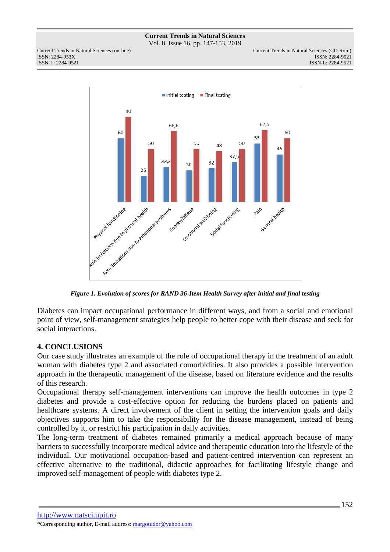Vol. 8, Issue 16, pp. 147-153, 2019

ISSN: 2284-953XISSN: 2284-9521



*Figure 1. Evolution of scores for RAND 36-Item Health Survey after initial and final testing* 

Diabetes can impact occupational performance in different ways, and from a social and emotional point of view, self-management strategies help people to better cope with their disease and seek for social interactions.

# **4. CONCLUSIONS**

Our case study illustrates an example of the role of occupational therapy in the treatment of an adult woman with diabetes type 2 and associated comorbidities. It also provides a possible intervention approach in the therapeutic management of the disease, based on literature evidence and the results of this research.

Occupational therapy self-management interventions can improve the health outcomes in type 2 diabetes and provide a cost-effective option for reducing the burdens placed on patients and healthcare systems. A direct involvement of the client in setting the intervention goals and daily objectives supports him to take the responsibility for the disease management, instead of being controlled by it, or restrict his participation in daily activities.

The long-term treatment of diabetes remained primarily a medical approach because of many barriers to successfully incorporate medical advice and therapeutic education into the lifestyle of the individual. Our motivational occupation-based and patient-centred intervention can represent an effective alternative to the traditional, didactic approaches for facilitating lifestyle change and improved self-management of people with diabetes type 2.